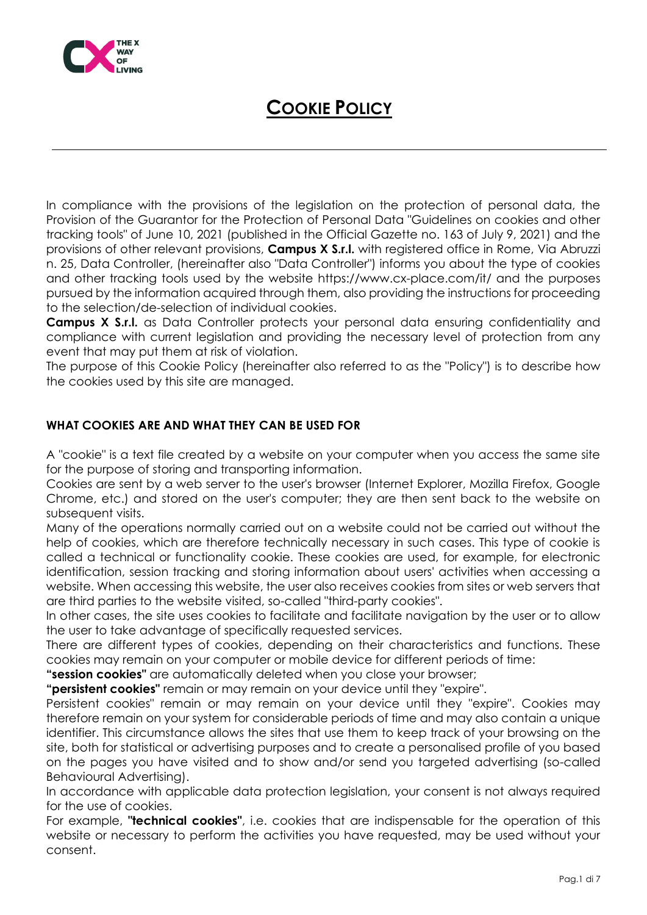

In compliance with the provisions of the legislation on the protection of personal data, the Provision of the Guarantor for the Protection of Personal Data "Guidelines on cookies and other tracking tools" of June 10, 2021 (published in the Official Gazette no. 163 of July 9, 2021) and the provisions of other relevant provisions, **Campus X S.r.l.** with registered office in Rome, Via Abruzzi n. 25, Data Controller, (hereinafter also "Data Controller") informs you about the type of cookies and other tracking tools used by the website https://www.cx-place.com/it/ and the purposes pursued by the information acquired through them, also providing the instructions for proceeding to the selection/de-selection of individual cookies.

**Campus X S.r.l.** as Data Controller protects your personal data ensuring confidentiality and compliance with current legislation and providing the necessary level of protection from any event that may put them at risk of violation.

The purpose of this Cookie Policy (hereinafter also referred to as the "Policy") is to describe how the cookies used by this site are managed.

### **WHAT COOKIES ARE AND WHAT THEY CAN BE USED FOR**

A "cookie" is a text file created by a website on your computer when you access the same site for the purpose of storing and transporting information.

Cookies are sent by a web server to the user's browser (Internet Explorer, Mozilla Firefox, Google Chrome, etc.) and stored on the user's computer; they are then sent back to the website on subsequent visits.

Many of the operations normally carried out on a website could not be carried out without the help of cookies, which are therefore technically necessary in such cases. This type of cookie is called a technical or functionality cookie. These cookies are used, for example, for electronic identification, session tracking and storing information about users' activities when accessing a website. When accessing this website, the user also receives cookies from sites or web servers that are third parties to the website visited, so-called "third-party cookies".

In other cases, the site uses cookies to facilitate and facilitate navigation by the user or to allow the user to take advantage of specifically requested services.

There are different types of cookies, depending on their characteristics and functions. These cookies may remain on your computer or mobile device for different periods of time:

**"session cookies"** are automatically deleted when you close your browser;

**"persistent cookies"** remain or may remain on your device until they "expire".

Persistent cookies" remain or may remain on your device until they "expire". Cookies may therefore remain on your system for considerable periods of time and may also contain a unique identifier. This circumstance allows the sites that use them to keep track of your browsing on the site, both for statistical or advertising purposes and to create a personalised profile of you based on the pages you have visited and to show and/or send you targeted advertising (so-called Behavioural Advertising).

In accordance with applicable data protection legislation, your consent is not always required for the use of cookies.

For example, **"technical cookies"**, i.e. cookies that are indispensable for the operation of this website or necessary to perform the activities you have requested, may be used without your consent.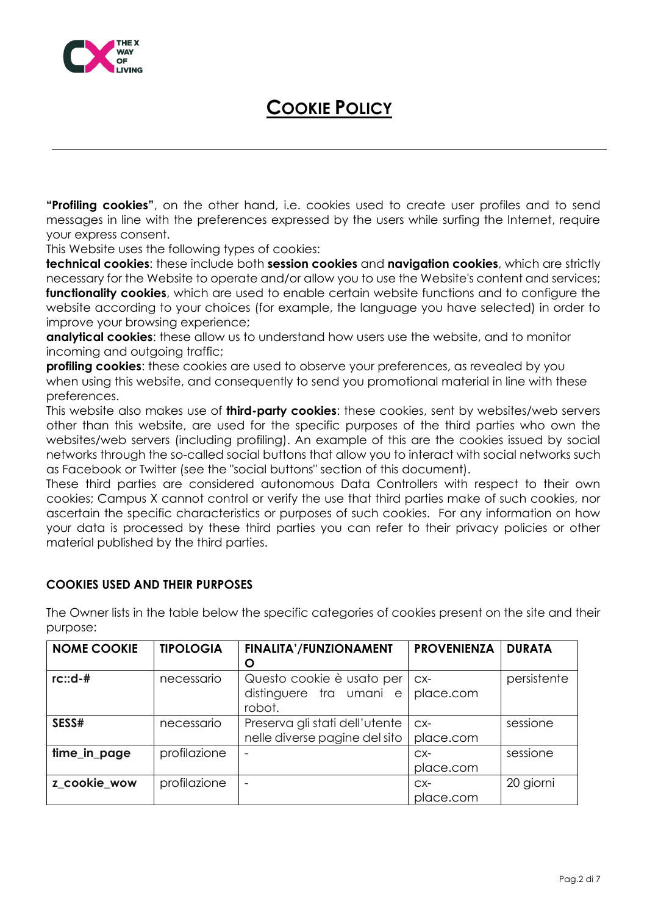

**"Profiling cookies"**, on the other hand, i.e. cookies used to create user profiles and to send messages in line with the preferences expressed by the users while surfing the Internet, require your express consent.

This Website uses the following types of cookies:

**technical cookies**: these include both **session cookies** and **navigation cookies**, which are strictly necessary for the Website to operate and/or allow you to use the Website's content and services; **functionality cookies**, which are used to enable certain website functions and to configure the website according to your choices (for example, the language you have selected) in order to improve your browsing experience;

**analytical cookies**: these allow us to understand how users use the website, and to monitor incoming and outgoing traffic;

**profiling cookies**: these cookies are used to observe your preferences, as revealed by you when using this website, and consequently to send you promotional material in line with these preferences.

This website also makes use of **third-party cookies**: these cookies, sent by websites/web servers other than this website, are used for the specific purposes of the third parties who own the websites/web servers (including profiling). An example of this are the cookies issued by social networks through the so-called social buttons that allow you to interact with social networks such as Facebook or Twitter (see the "social buttons" section of this document).

These third parties are considered autonomous Data Controllers with respect to their own cookies; Campus X cannot control or verify the use that third parties make of such cookies, nor ascertain the specific characteristics or purposes of such cookies. For any information on how your data is processed by these third parties you can refer to their privacy policies or other material published by the third parties.

#### **COOKIES USED AND THEIR PURPOSES**

| <b>NOME COOKIE</b> | <b>TIPOLOGIA</b> | <b>FINALITA'/FUNZIONAMENT</b><br>O                              | <b>PROVENIENZA</b> | <b>DURATA</b> |
|--------------------|------------------|-----------------------------------------------------------------|--------------------|---------------|
| $rc::d-#$          | necessario       | Questo cookie è usato per<br>distinguere tra umani e<br>robot.  | $CX-$<br>place.com | persistente   |
| SESS#              | necessario       | Preserva gli stati dell'utente<br>nelle diverse pagine del sito | $CX-$<br>place.com | sessione      |
| time_in_page       | profilazione     |                                                                 | $CX-$<br>place.com | sessione      |
| z cookie wow       | profilazione     | $\overline{\phantom{0}}$                                        | $CX-$<br>place.com | 20 giorni     |

The Owner lists in the table below the specific categories of cookies present on the site and their purpose: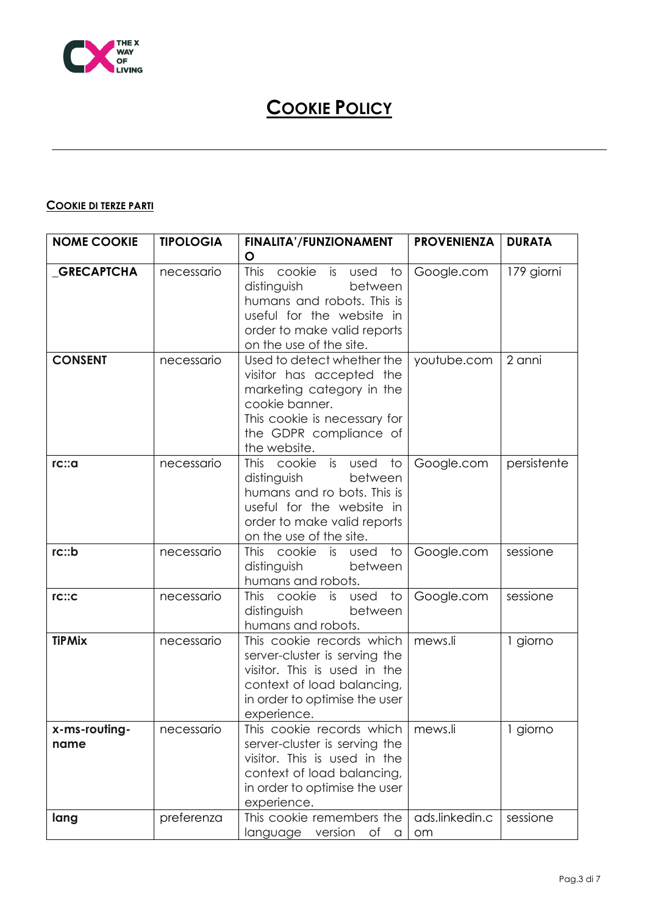

### **COOKIE DI TERZE PARTI**

| <b>NOME COOKIE</b>    | <b>TIPOLOGIA</b> | <b>FINALITA'/FUNZIONAMENT</b>                                                                                                                                                           | <b>PROVENIENZA</b>   | <b>DURATA</b> |
|-----------------------|------------------|-----------------------------------------------------------------------------------------------------------------------------------------------------------------------------------------|----------------------|---------------|
| _GRECAPTCHA           | necessario       | O<br><b>This</b><br>cookie is used<br>to<br>distinguish<br>between<br>humans and robots. This is<br>useful for the website in<br>order to make valid reports<br>on the use of the site. | Google.com           | 179 giorni    |
| <b>CONSENT</b>        | necessario       | Used to detect whether the<br>visitor has accepted the<br>marketing category in the<br>cookie banner.<br>This cookie is necessary for<br>the GDPR compliance of<br>the website.         | youtube.com          | 2 anni        |
| rc::a                 | necessario       | This cookie is used<br>to<br>distinguish<br>between<br>humans and ro bots. This is<br>useful for the website in<br>order to make valid reports<br>on the use of the site.               | Google.com           | persistente   |
| rc::b                 | necessario       | This cookie is used<br>to<br>distinguish<br>between<br>humans and robots.                                                                                                               | Google.com           | sessione      |
| rc::c                 | necessario       | <b>This</b><br>cookie is used<br>to<br>distinguish<br>between<br>humans and robots.                                                                                                     | Google.com           | sessione      |
| <b>TiPMix</b>         | necessario       | This cookie records which<br>server-cluster is serving the<br>visitor. This is used in the<br>context of load balancing,<br>in order to optimise the user<br>experience.                | mews.li              | 1 giorno      |
| x-ms-routing-<br>name | necessario       | This cookie records which<br>server-cluster is serving the<br>visitor. This is used in the<br>context of load balancing,<br>in order to optimise the user<br>experience.                | mews.li              | 1 giorno      |
| lang                  | preferenza       | This cookie remembers the<br>language version of<br>$\alpha$                                                                                                                            | ads.linkedin.c<br>om | sessione      |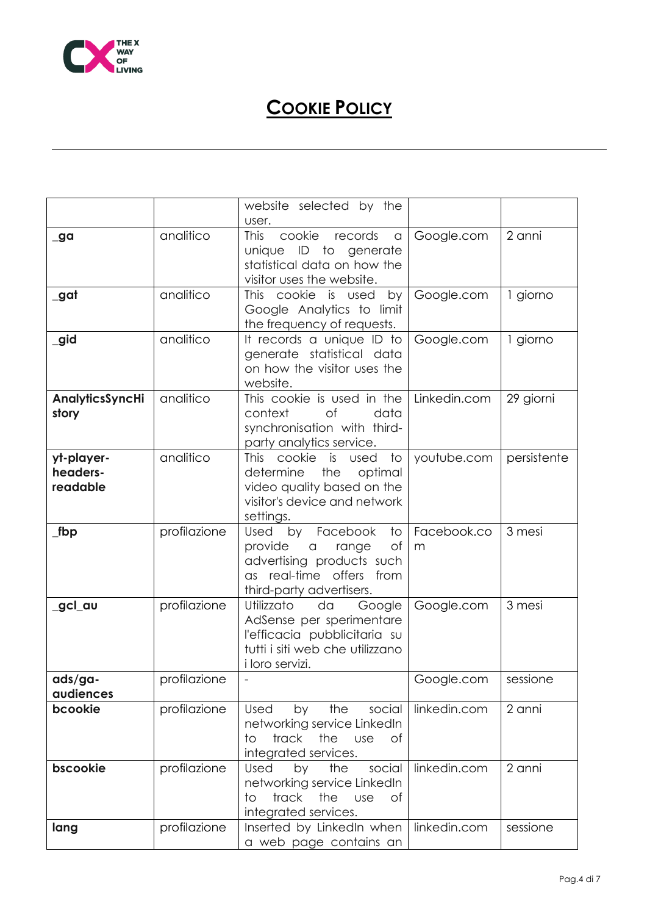

|                     |              | website selected by the                                  |              |             |
|---------------------|--------------|----------------------------------------------------------|--------------|-------------|
|                     | analitico    | user.<br>cookie                                          |              | 2 anni      |
| _ga                 |              | <b>This</b><br>records<br>a<br>ID to                     | Google.com   |             |
|                     |              | unique<br>generate<br>statistical data on how the        |              |             |
|                     |              |                                                          |              |             |
|                     |              | visitor uses the website.                                |              |             |
| _gat                | analitico    | This cookie is used<br>by                                | Google.com   | 1 giorno    |
|                     |              | Google Analytics to limit                                |              |             |
|                     | analitico    | the frequency of requests.                               |              |             |
| _gid                |              | It records a unique ID to                                | Google.com   | 1 giorno    |
|                     |              | generate statistical data<br>on how the visitor uses the |              |             |
|                     |              | website.                                                 |              |             |
| AnalyticsSyncHi     | analitico    | This cookie is used in the                               | Linkedin.com | 29 giorni   |
| story               |              | context<br>of<br>data                                    |              |             |
|                     |              | synchronisation with third-                              |              |             |
|                     |              | party analytics service.                                 |              |             |
| yt-player-          | analitico    | cookie<br><b>This</b><br>is<br>$\overline{1}$<br>used    | youtube.com  | persistente |
| headers-            |              | determine<br>the<br>optimal                              |              |             |
| readable            |              | video quality based on the                               |              |             |
|                     |              | visitor's device and network                             |              |             |
|                     |              | settings.                                                |              |             |
| $_{\mathsf{I}}$ fbp | profilazione | Facebook<br>Used<br>by<br>to                             | Facebook.co  | 3 mesi      |
|                     |              |                                                          |              |             |
|                     |              | Оf                                                       | m            |             |
|                     |              | provide<br>range<br>$\hbox{\tt C}$                       |              |             |
|                     |              | advertising products such<br>as real-time offers<br>from |              |             |
|                     |              | third-party advertisers.                                 |              |             |
| _gcl_au             | profilazione | Utilizzato<br>Google<br>da                               | Google.com   | 3 mesi      |
|                     |              | AdSense per sperimentare                                 |              |             |
|                     |              | l'efficacia pubblicitaria su                             |              |             |
|                     |              | tutti i siti web che utilizzano                          |              |             |
|                     |              | i loro servizi.                                          |              |             |
| ads/ga-             | profilazione |                                                          | Google.com   | sessione    |
| audiences           |              |                                                          |              |             |
| bcookie             | profilazione | Used<br>by the social                                    | linkedin.com | 2 anni      |
|                     |              | networking service LinkedIn                              |              |             |
|                     |              | track<br>the<br>to<br><b>use</b><br>0f                   |              |             |
|                     |              | integrated services.                                     |              |             |
| bscookie            | profilazione | Used<br>social<br>by the                                 | linkedin.com | 2 anni      |
|                     |              | networking service LinkedIn                              |              |             |
|                     |              | track<br>the<br><b>use</b><br>to<br>of                   |              |             |
|                     |              | integrated services.                                     |              |             |
| lang                | profilazione | Inserted by LinkedIn when<br>a web page contains an      | linkedin.com | sessione    |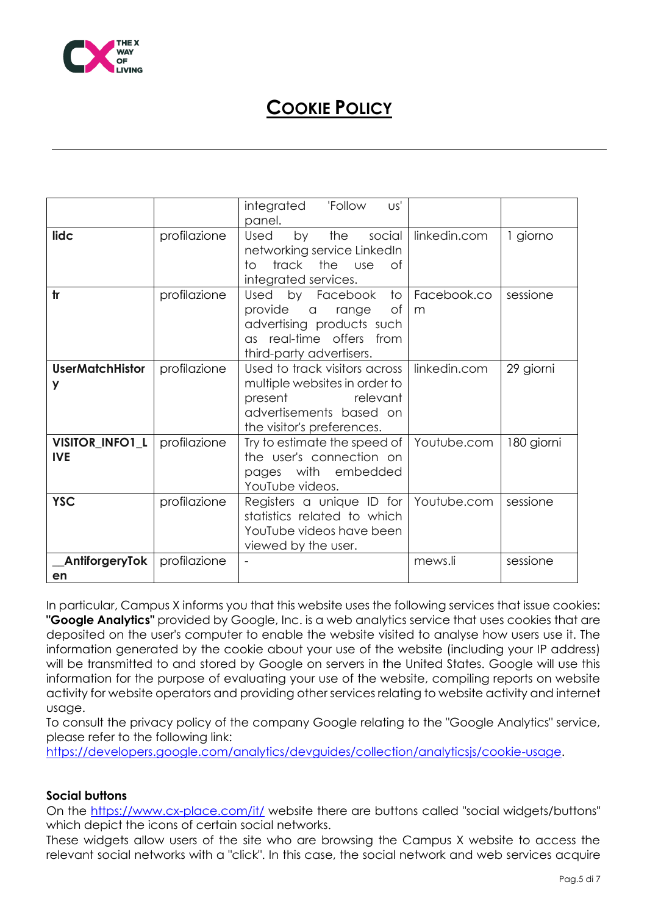

|                               |              | integrated<br>'Follow<br>US'<br>panel.                                                                                                         |                  |            |
|-------------------------------|--------------|------------------------------------------------------------------------------------------------------------------------------------------------|------------------|------------|
| lidc                          | profilazione | the social<br>Used<br>by<br>networking service LinkedIn<br>track the use<br>to<br>0f<br>integrated services.                                   | linkedin.com     | 1 giorno   |
| tr                            | profilazione | to<br>Used by Facebook<br>provide a range<br>Оf<br>advertising products such<br>as real-time offers from<br>third-party advertisers.           | Facebook.co<br>m | sessione   |
| <b>UserMatchHistor</b><br>y   | profilazione | Used to track visitors across<br>multiple websites in order to<br>present<br>relevant<br>advertisements based on<br>the visitor's preferences. | linkedin.com     | 29 giorni  |
| VISITOR_INFO1_L<br><b>IVE</b> | profilazione | Try to estimate the speed of<br>the user's connection on<br>pages with embedded<br>YouTube videos.                                             | Youtube.com      | 180 giorni |
| <b>YSC</b>                    | profilazione | Registers a unique ID for<br>statistics related to which<br>YouTube videos have been<br>viewed by the user.                                    | Youtube.com      | sessione   |
| _AntiforgeryTok<br>en         | profilazione |                                                                                                                                                | mews.li          | sessione   |

In particular, Campus X informs you that this website uses the following services that issue cookies: **"Google Analytics"** provided by Google, Inc. is a web analytics service that uses cookies that are deposited on the user's computer to enable the website visited to analyse how users use it. The information generated by the cookie about your use of the website (including your IP address) will be transmitted to and stored by Google on servers in the United States. Google will use this information for the purpose of evaluating your use of the website, compiling reports on website activity for website operators and providing other services relating to website activity and internet usage.

To consult the privacy policy of the company Google relating to the "Google Analytics" service, please refer to the following link:

[https://developers.google.com/analytics/devguides/collection/analyticsjs/cookie-usage.](https://developers.google.com/analytics/devguides/collection/analyticsjs/cookie-usage)

#### **Social buttons**

On the<https://www.cx-place.com/it/> website there are buttons called "social widgets/buttons" which depict the icons of certain social networks.

These widgets allow users of the site who are browsing the Campus X website to access the relevant social networks with a "click". In this case, the social network and web services acquire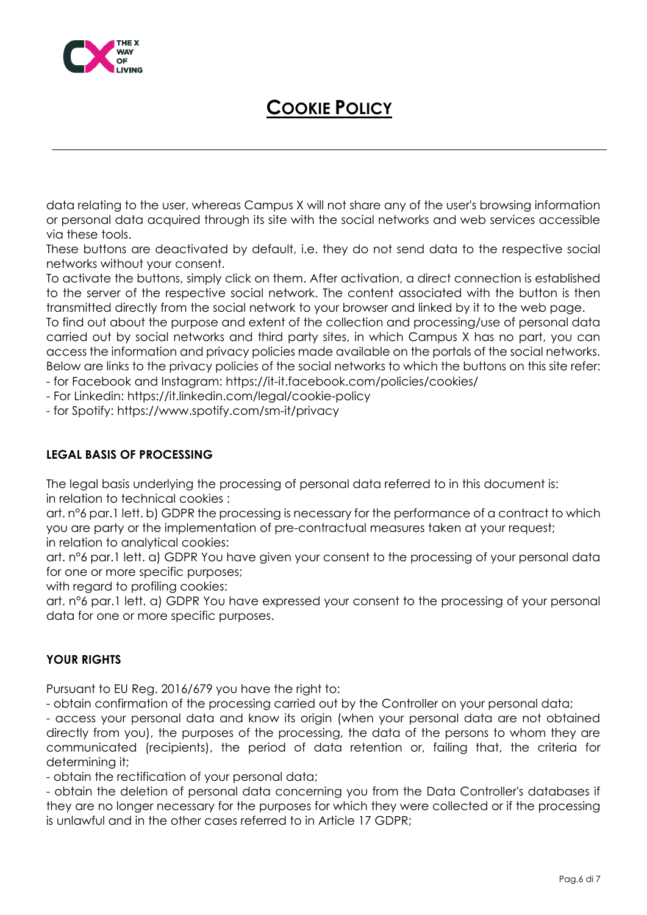

data relating to the user, whereas Campus X will not share any of the user's browsing information or personal data acquired through its site with the social networks and web services accessible via these tools.

These buttons are deactivated by default, i.e. they do not send data to the respective social networks without your consent.

To activate the buttons, simply click on them. After activation, a direct connection is established to the server of the respective social network. The content associated with the button is then transmitted directly from the social network to your browser and linked by it to the web page.

To find out about the purpose and extent of the collection and processing/use of personal data carried out by social networks and third party sites, in which Campus X has no part, you can access the information and privacy policies made available on the portals of the social networks. Below are links to the privacy policies of the social networks to which the buttons on this site refer:

- for Facebook and Instagram: https://it-it.facebook.com/policies/cookies/

- For Linkedin: https://it.linkedin.com/legal/cookie-policy

- for Spotify: https://www.spotify.com/sm-it/privacy

### **LEGAL BASIS OF PROCESSING**

The legal basis underlying the processing of personal data referred to in this document is: in relation to technical cookies :

art. n°6 par.1 lett. b) GDPR the processing is necessary for the performance of a contract to which you are party or the implementation of pre-contractual measures taken at your request; in relation to analytical cookies:

art. n°6 par.1 lett. a) GDPR You have given your consent to the processing of your personal data for one or more specific purposes;

with regard to profiling cookies:

art. n°6 par.1 lett. a) GDPR You have expressed your consent to the processing of your personal data for one or more specific purposes.

#### **YOUR RIGHTS**

Pursuant to EU Reg. 2016/679 you have the right to:

- obtain confirmation of the processing carried out by the Controller on your personal data;

- access your personal data and know its origin (when your personal data are not obtained directly from you), the purposes of the processing, the data of the persons to whom they are communicated (recipients), the period of data retention or, failing that, the criteria for determining it;

- obtain the rectification of your personal data;

- obtain the deletion of personal data concerning you from the Data Controller's databases if they are no longer necessary for the purposes for which they were collected or if the processing is unlawful and in the other cases referred to in Article 17 GDPR;